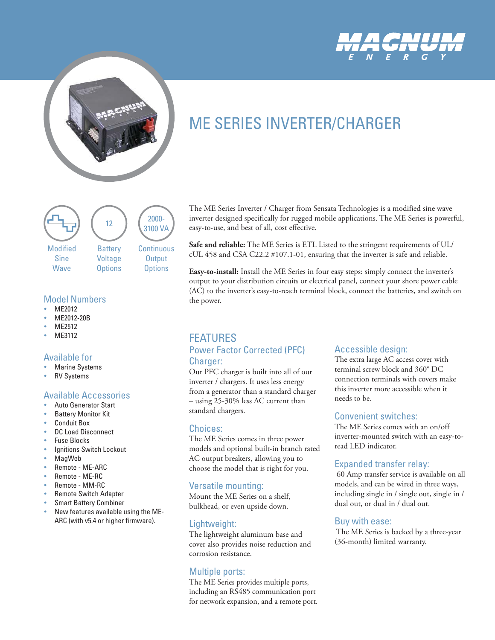



# ME SERIES INVERTER/CHARGER



#### Model Numbers

- MF2012
- ME2012-20B
- MF<sub>2512</sub>
- MF3112

#### Available for

- **Marine Systems**
- **RV Systems**

# Available Accessories

- Auto Generator Start
- **Battery Monitor Kit**
- **Conduit Box**
- DC Load Disconnect
- **Fuse Blocks**
- Ignitions Switch Lockout
- MagWeb
- Remote ME-ARC
- Remote ME-RC
- Remote MM-RC
- Remote Switch Adapter
- **Smart Battery Combiner**
- New features available using the ME-ARC (with v5.4 or higher firmware).

The ME Series Inverter / Charger from Sensata Technologies is a modified sine wave inverter designed specifically for rugged mobile applications. The ME Series is powerful, easy-to-use, and best of all, cost effective.

**Safe and reliable:** The ME Series is ETL Listed to the stringent requirements of UL/ cUL 458 and CSA C22.2 #107.1-01, ensuring that the inverter is safe and reliable.

**Easy-to-install:** Install the ME Series in four easy steps: simply connect the inverter's output to your distribution circuits or electrical panel, connect your shore power cable (AC) to the inverter's easy-to-reach terminal block, connect the batteries, and switch on the power.

# FEATURES Power Factor Corrected (PFC) Charger:

Our PFC charger is built into all of our inverter / chargers. It uses less energy from a generator than a standard charger – using 25-30% less AC current than standard chargers.

#### Choices:

The ME Series comes in three power models and optional built-in branch rated AC output breakers, allowing you to choose the model that is right for you.

#### Versatile mounting:

Mount the ME Series on a shelf, bulkhead, or even upside down.

# Lightweight:

The lightweight aluminum base and cover also provides noise reduction and corrosion resistance.

# Multiple ports:

The ME Series provides multiple ports, including an RS485 communication port for network expansion, and a remote port.

#### Accessible design:

The extra large AC access cover with terminal screw block and 360° DC connection terminals with covers make this inverter more accessible when it needs to be.

#### Convenient switches:

The ME Series comes with an on/off inverter-mounted switch with an easy-toread LED indicator.

#### Expanded transfer relay:

 60 Amp transfer service is available on all models, and can be wired in three ways, including single in / single out, single in / dual out, or dual in / dual out.

#### Buy with ease:

 The ME Series is backed by a three-year (36-month) limited warranty.